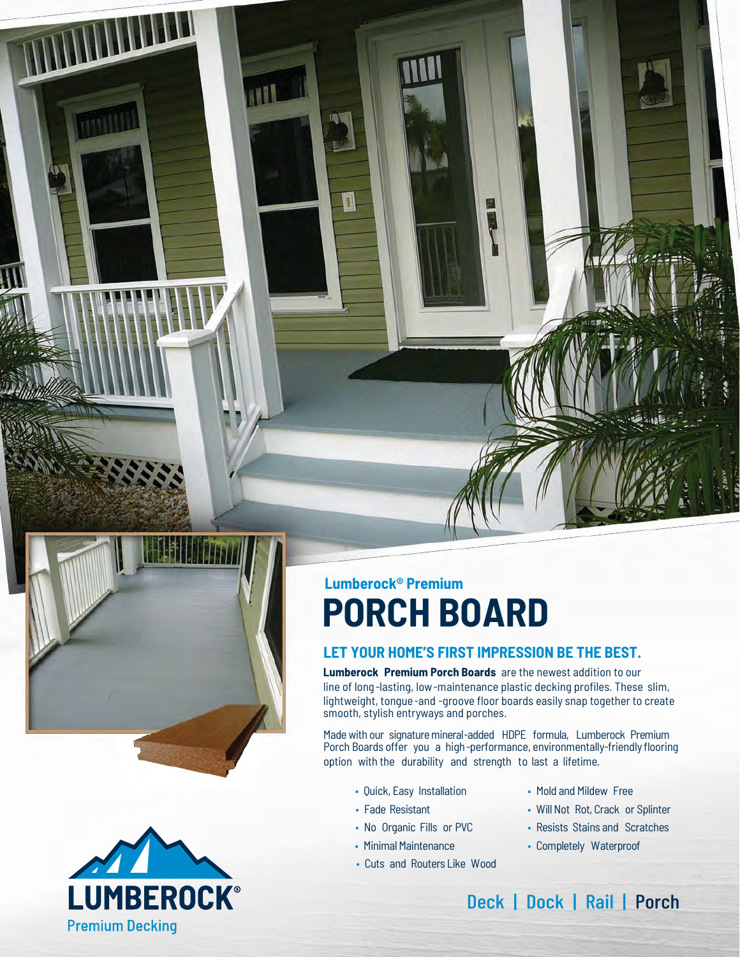

**UIL** 



# **Lumberock® Premium PORCH BOARD**

### **LET YOUR HOME'S FIRST IMPRESSION BE THE BEST.**

Ø

**Lumberock Premium Porch Boards** are the newest addition to our line of long-lasting, low-maintenance plastic decking profiles. These slim, lightweight, tongue-and -groove floor boards easily snap together to create smooth, stylish entryways and porches.

Made with our signature mineral-added HDPE formula, Lumberock Premium Porch Boards offer you a high-performance, environmentally-friendly flooring option with the durability and strength to last a lifetime.

- Quick, Easy Installation
- Fade Resistant
- No Organic Fills or PVC
- Minimal Maintenance
- Cuts and Routers Like Wood
- Mold and Mildew Free
- Will Not Rot, Crack or Splinter
- Resists Stains and Scratches
- Completely Waterproof

 Deck | Dock | Rail | Porch